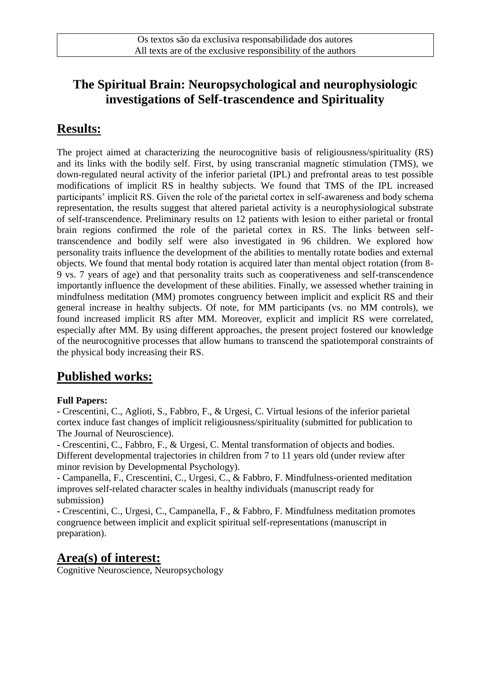# **The Spiritual Brain: Neuropsychological and neurophysiologic investigations of Self-trascendence and Spirituality**

## **Results:**

The project aimed at characterizing the neurocognitive basis of religiousness/spirituality (RS) and its links with the bodily self. First, by using transcranial magnetic stimulation (TMS), we down-regulated neural activity of the inferior parietal (IPL) and prefrontal areas to test possible modifications of implicit RS in healthy subjects. We found that TMS of the IPL increased participants' implicit RS. Given the role of the parietal cortex in self-awareness and body schema representation, the results suggest that altered parietal activity is a neurophysiological substrate of self-transcendence. Preliminary results on 12 patients with lesion to either parietal or frontal brain regions confirmed the role of the parietal cortex in RS. The links between selftranscendence and bodily self were also investigated in 96 children. We explored how personality traits influence the development of the abilities to mentally rotate bodies and external objects. We found that mental body rotation is acquired later than mental object rotation (from 8- 9 vs. 7 years of age) and that personality traits such as cooperativeness and self-transcendence importantly influence the development of these abilities. Finally, we assessed whether training in mindfulness meditation (MM) promotes congruency between implicit and explicit RS and their general increase in healthy subjects. Of note, for MM participants (vs. no MM controls), we found increased implicit RS after MM. Moreover, explicit and implicit RS were correlated, especially after MM. By using different approaches, the present project fostered our knowledge of the neurocognitive processes that allow humans to transcend the spatiotemporal constraints of the physical body increasing their RS.

# **Published works:**

#### **Full Papers:**

**-** Crescentini, C., Aglioti, S., Fabbro, F., & Urgesi, C. Virtual lesions of the inferior parietal cortex induce fast changes of implicit religiousness/spirituality (submitted for publication to The Journal of Neuroscience).

**-** Crescentini, C., Fabbro, F., & Urgesi, C. Mental transformation of objects and bodies. Different developmental trajectories in children from 7 to 11 years old (under review after minor revision by Developmental Psychology).

**-** Campanella, F., Crescentini, C., Urgesi, C., & Fabbro, F. Mindfulness-oriented meditation improves self-related character scales in healthy individuals (manuscript ready for submission)

**-** Crescentini, C., Urgesi, C., Campanella, F., & Fabbro, F. Mindfulness meditation promotes congruence between implicit and explicit spiritual self-representations (manuscript in preparation).

### **Area(s) of interest:**

Cognitive Neuroscience, Neuropsychology